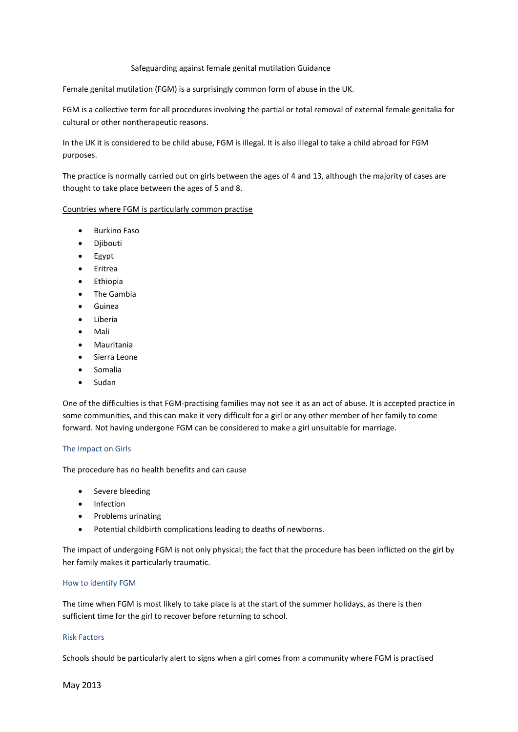# Safeguarding against female genital mutilation Guidance

Female genital mutilation (FGM) is a surprisingly common form of abuse in the UK.

FGM is a collective term for all procedures involving the partial or total removal of external female genitalia for cultural or other nontherapeutic reasons.

In the UK it is considered to be child abuse, FGM is illegal. It is also illegal to take a child abroad for FGM purposes.

The practice is normally carried out on girls between the ages of 4 and 13, although the majority of cases are thought to take place between the ages of 5 and 8.

#### Countries where FGM is particularly common practise

- **•** Burkino Faso
- Diibouti
- Egypt
- Eritrea
- Ethiopia
- The Gambia
- Guinea
- Liberia
- Mali
- Mauritania
- Sierra Leone
- Somalia
- Sudan

One of the difficulties is that FGM-practising families may not see it as an act of abuse. It is accepted practice in some communities, and this can make it very difficult for a girl or any other member of her family to come forward. Not having undergone FGM can be considered to make a girl unsuitable for marriage.

#### The Impact on Girls

The procedure has no health benefits and can cause

- Severe bleeding
- Infection
- Problems urinating
- Potential childbirth complications leading to deaths of newborns.

The impact of undergoing FGM is not only physical; the fact that the procedure has been inflicted on the girl by her family makes it particularly traumatic.

#### How to identify FGM

The time when FGM is most likely to take place is at the start of the summer holidays, as there is then sufficient time for the girl to recover before returning to school.

#### Risk Factors

Schools should be particularly alert to signs when a girl comes from a community where FGM is practised